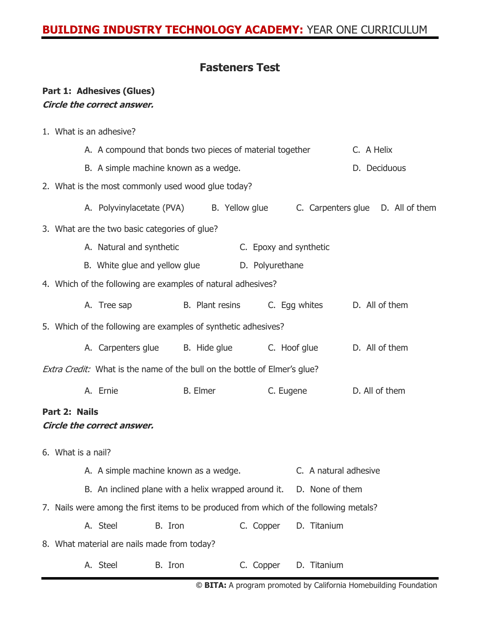## **BUILDING INDUSTRY TECHNOLOGY ACADEMY:** YEAR ONE CURRICULUM

#### **Fasteners Test**

#### **Part 1: Adhesives (Glues) Circle the correct answer.**

1. What is an adhesive?

A. A compound that bonds two pieces of material together C. A Helix B. A simple machine known as a wedge. The contract of the D. Deciduous 2. What is the most commonly used wood glue today? A. Polyvinylacetate (PVA) B. Yellow glue C. Carpenters glue D. All of them 3. What are the two basic categories of glue? A. Natural and synthetic **C.** Epoxy and synthetic B. White glue and yellow glue **D.** Polyurethane 4. Which of the following are examples of natural adhesives? A. Tree sap B. Plant resins C. Egg whites D. All of them 5. Which of the following are examples of synthetic adhesives? A. Carpenters glue B. Hide glue C. Hoof glue D. All of them Extra Credit: What is the name of the bull on the bottle of Elmer's glue? A. Ernie B. Elmer C. Eugene D. All of them **Part 2: Nails Circle the correct answer.** 6. What is a nail? A. A simple machine known as a wedge. C. A natural adhesive B. An inclined plane with a helix wrapped around it. D. None of them 7. Nails were among the first items to be produced from which of the following metals? A. Steel B. Iron C. Copper D. Titanium 8. What material are nails made from today? A. Steel B. Iron C. Copper D. Titanium

**© BITA:** A program promoted by California Homebuilding Foundation